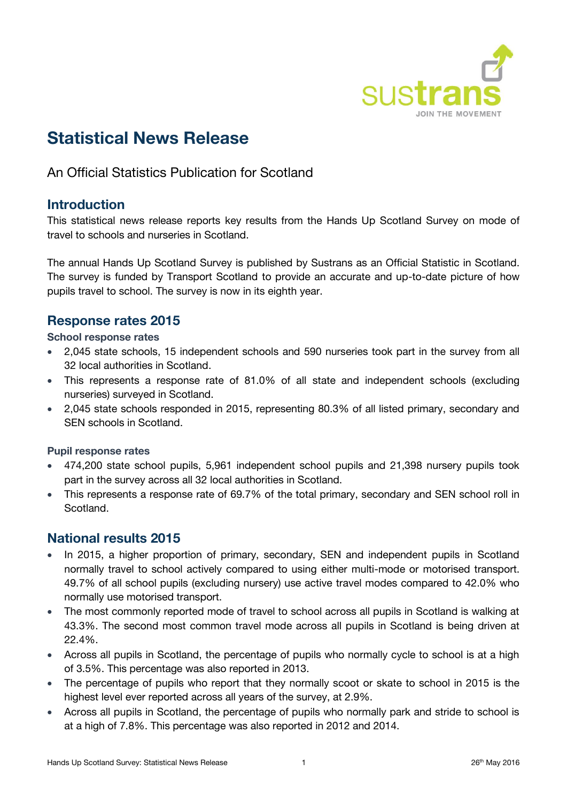

# **Statistical News Release**

An Official Statistics Publication for Scotland

### **Introduction**

This statistical news release reports key results from the Hands Up Scotland Survey on mode of travel to schools and nurseries in Scotland.

The annual Hands Up Scotland Survey is published by Sustrans as an Official Statistic in Scotland. The survey is funded by Transport Scotland to provide an accurate and up-to-date picture of how pupils travel to school. The survey is now in its eighth year.

# **Response rates 2015**

### **School response rates**

- 2,045 state schools, 15 independent schools and 590 nurseries took part in the survey from all 32 local authorities in Scotland.
- This represents a response rate of 81.0% of all state and independent schools (excluding nurseries) surveyed in Scotland.
- 2,045 state schools responded in 2015, representing 80.3% of all listed primary, secondary and SEN schools in Scotland.

### **Pupil response rates**

- 474,200 state school pupils, 5,961 independent school pupils and 21,398 nursery pupils took part in the survey across all 32 local authorities in Scotland.
- This represents a response rate of 69.7% of the total primary, secondary and SEN school roll in Scotland.

### **National results 2015**

- In 2015, a higher proportion of primary, secondary, SEN and independent pupils in Scotland normally travel to school actively compared to using either multi-mode or motorised transport. 49.7% of all school pupils (excluding nursery) use active travel modes compared to 42.0% who normally use motorised transport.
- The most commonly reported mode of travel to school across all pupils in Scotland is walking at 43.3%. The second most common travel mode across all pupils in Scotland is being driven at 22.4%.
- Across all pupils in Scotland, the percentage of pupils who normally cycle to school is at a high of 3.5%. This percentage was also reported in 2013.
- The percentage of pupils who report that they normally scoot or skate to school in 2015 is the highest level ever reported across all years of the survey, at 2.9%.
- Across all pupils in Scotland, the percentage of pupils who normally park and stride to school is at a high of 7.8%. This percentage was also reported in 2012 and 2014.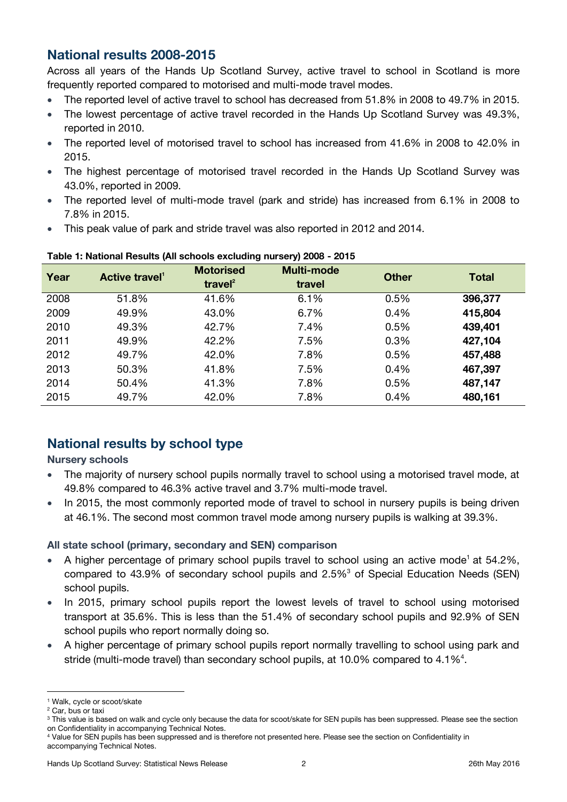# **National results 2008-2015**

Across all years of the Hands Up Scotland Survey, active travel to school in Scotland is more frequently reported compared to motorised and multi-mode travel modes.

- The reported level of active travel to school has decreased from 51.8% in 2008 to 49.7% in 2015.
- The lowest percentage of active travel recorded in the Hands Up Scotland Survey was 49.3%, reported in 2010.
- The reported level of motorised travel to school has increased from 41.6% in 2008 to 42.0% in 2015.
- The highest percentage of motorised travel recorded in the Hands Up Scotland Survey was 43.0%, reported in 2009.
- The reported level of multi-mode travel (park and stride) has increased from 6.1% in 2008 to 7.8% in 2015.
- This peak value of park and stride travel was also reported in 2012 and 2014.

| Year | Active travel' | <b>Motorised</b><br>travel $2$ | <b>Multi-mode</b><br>travel | <b>Other</b> | <b>Total</b> |
|------|----------------|--------------------------------|-----------------------------|--------------|--------------|
| 2008 | 51.8%          | 41.6%                          | 6.1%                        | 0.5%         | 396,377      |
| 2009 | 49.9%          | 43.0%                          | 6.7%                        | 0.4%         | 415,804      |
| 2010 | 49.3%          | 42.7%                          | 7.4%                        | 0.5%         | 439,401      |
| 2011 | 49.9%          | 42.2%                          | 7.5%                        | 0.3%         | 427,104      |
| 2012 | 49.7%          | 42.0%                          | 7.8%                        | 0.5%         | 457,488      |
| 2013 | 50.3%          | 41.8%                          | 7.5%                        | 0.4%         | 467,397      |
| 2014 | 50.4%          | 41.3%                          | 7.8%                        | 0.5%         | 487,147      |
| 2015 | 49.7%          | 42.0%                          | 7.8%                        | 0.4%         | 480,161      |

#### <span id="page-1-0"></span>**Table 1: National Results (All schools excluding nursery) 2008 - 2015**

# **National results by school type**

### **Nursery schools**

- The majority of nursery school pupils normally travel to school using a motorised travel mode, at 49.8% compared to 46.3% active travel and 3.7% multi-mode travel.
- In 2015, the most commonly reported mode of travel to school in nursery pupils is being driven at 46.1%. The second most common travel mode among nursery pupils is walking at 39.3%.

### **All state school (primary, secondary and SEN) comparison**

- A higher percentage of primary school pupils travel to school using an active mode<sup>[1](#page-1-0)</sup> at 54.2%, compared to 43.9% of secondary school pupils and  $2.5\%$ <sup>3</sup> of Special Education Needs (SEN) school pupils.
- In 2015, primary school pupils report the lowest levels of travel to school using motorised transport at 35.6%. This is less than the 51.4% of secondary school pupils and 92.9% of SEN school pupils who report normally doing so.
- A higher percentage of primary school pupils report normally travelling to school using park and stride (multi-mode travel) than secondary school pupils, at 10.0% compared to 4.1%<sup>4</sup>.

 $\overline{a}$ <sup>1</sup> Walk, cycle or scoot/skate

<sup>&</sup>lt;sup>2</sup> Car, bus or taxi

<sup>&</sup>lt;sup>3</sup> This value is based on walk and cycle only because the data for scoot/skate for SEN pupils has been suppressed. Please see the section on Confidentiality in accompanying Technical Notes.

<sup>4</sup> Value for SEN pupils has been suppressed and is therefore not presented here. Please see the section on Confidentiality in accompanying Technical Notes.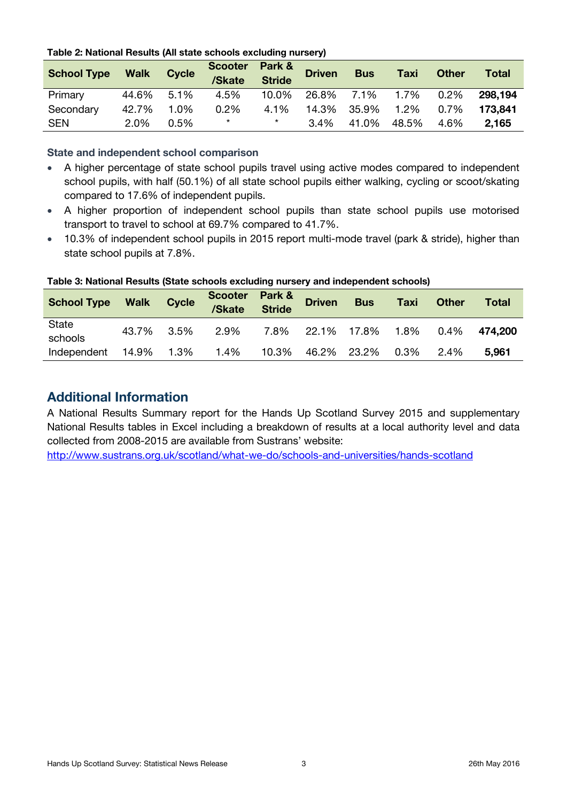| Table 2: National Results (All state schools excluding nursery) |  |  |
|-----------------------------------------------------------------|--|--|
|-----------------------------------------------------------------|--|--|

| <b>School Type</b> | <b>Walk</b> | <b>Cycle</b> | <b>Scooter</b><br>/Skate | Park &<br><b>Stride</b> | <b>Driven</b> | <b>Bus</b> | <b>Taxi</b> | <b>Other</b> | Total   |
|--------------------|-------------|--------------|--------------------------|-------------------------|---------------|------------|-------------|--------------|---------|
| Primary            | 44.6%       | 5.1%         | 4.5%                     | 10.0%                   | 26.8%         | 7.1%       | 1.7%        | 0.2%         | 298.194 |
| Secondary          | 42.7%       | 1.0%         | 0.2%                     | 4.1%                    | 14.3%         | 35.9%      | 1.2%        | 0.7%         | 173.841 |
| <b>SEN</b>         | 2.0%        | 0.5%         | $^\star$                 | $^\star$                | 3.4%          | 41.0%      | 48.5%       | 4.6%         | 2,165   |

#### **State and independent school comparison**

- A higher percentage of state school pupils travel using active modes compared to independent school pupils, with half (50.1%) of all state school pupils either walking, cycling or scoot/skating compared to 17.6% of independent pupils.
- A higher proportion of independent school pupils than state school pupils use motorised transport to travel to school at 69.7% compared to 41.7%.
- 10.3% of independent school pupils in 2015 report multi-mode travel (park & stride), higher than state school pupils at 7.8%.

| <b>School Type</b> | <b>Walk</b> | <b>Cycle</b> | Scooter Park &<br>/Skate | <b>Stride</b> | <b>Driven</b> | <b>Bus</b>            | <b>Taxi</b> | <b>Other</b> | <b>Total</b> |
|--------------------|-------------|--------------|--------------------------|---------------|---------------|-----------------------|-------------|--------------|--------------|
| State<br>schools   | 43.7%       | 3.5%         | 2.9%                     |               |               | 7.8% 22.1% 17.8% 1.8% |             | 0.4%         | 474.200      |
| Independent        | 14.9%       | 1.3%         | 1.4%                     | 10.3%         |               | 46.2% 23.2% 0.3%      |             | 2.4%         | 5,961        |

#### **Table 3: National Results (State schools excluding nursery and independent schools)**

### **Additional Information**

A National Results Summary report for the Hands Up Scotland Survey 2015 and supplementary National Results tables in Excel including a breakdown of results at a local authority level and data collected from 2008-2015 are available from Sustrans' website:

<http://www.sustrans.org.uk/scotland/what-we-do/schools-and-universities/hands-scotland>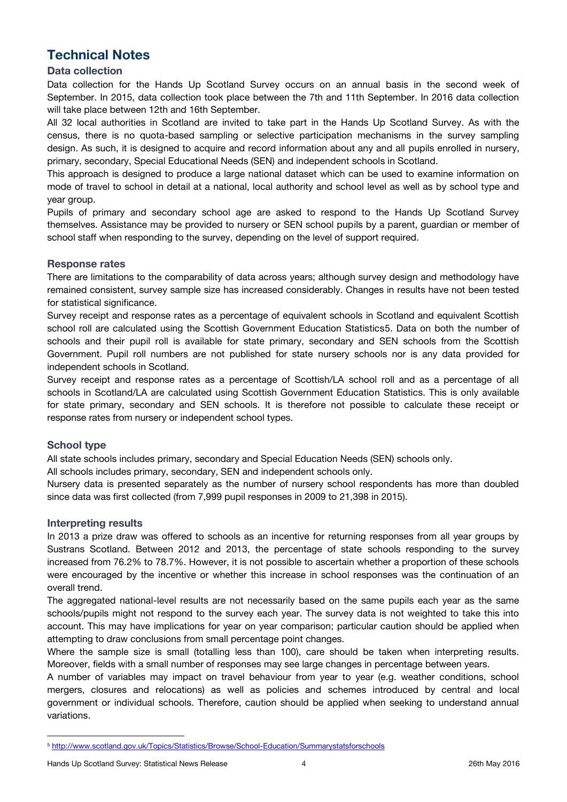# **Technical Notes**

#### **Data collection**

Data collection for the Hands Up Scotland Survey occurs on an annual basis in the second week of September. In 2015, data collection took place between the 7th and 11th September. In 2016 data collection will take place between 12th and 16th September.

All 32 local authorities in Scotland are invited to take part in the Hands Up Scotland Survey. As with the census, there is no quota-based sampling or selective participation mechanisms in the survey sampling design. As such, it is designed to acquire and record information about any and all pupils enrolled in nursery, primary, secondary, Special Educational Needs (SEN) and independent schools in Scotland.

This approach is designed to produce a large national dataset which can be used to examine information on mode of travel to school in detail at a national, local authority and school level as well as by school type and year group.

Pupils of primary and secondary school age are asked to respond to the Hands Up Scotland Survey themselves. Assistance may be provided to nursery or SEN school pupils by a parent, guardian or member of school staff when responding to the survey, depending on the level of support required.

#### **Response rates**

There are limitations to the comparability of data across years; although survey design and methodology have remained consistent, survey sample size has increased considerably. Changes in results have not been tested for statistical significance.

Survey receipt and response rates as a percentage of equivalent schools in Scotland and equivalent Scottish school roll are calculated using the Scottish Government Education Statistics5. Data on both the number of schools and their pupil roll is available for state primary, secondary and SEN schools from the Scottish Government. Pupil roll numbers are not published for state nursery schools nor is any data provided for independent schools in Scotland.

Survey receipt and response rates as a percentage of Scottish/LA school roll and as a percentage of all schools in Scotland/LA are calculated using Scottish Government Education Statistics. This is only available for state primary, secondary and SEN schools. It is therefore not possible to calculate these receipt or response rates from nursery or independent school types.

#### **School type**

 $\overline{a}$ 

All state schools includes primary, secondary and Special Education Needs (SEN) schools only.

All schools includes primary, secondary, SEN and independent schools only.

Nursery data is presented separately as the number of nursery school respondents has more than doubled since data was first collected (from 7,999 pupil responses in 2009 to 21,398 in 2015).

#### **Interpreting results**

In 2013 a prize draw was offered to schools as an incentive for returning responses from all year groups by Sustrans Scotland. Between 2012 and 2013, the percentage of state schools responding to the survey increased from 76.2% to 78.7%. However, it is not possible to ascertain whether a proportion of these schools were encouraged by the incentive or whether this increase in school responses was the continuation of an overall trend.

The aggregated national-level results are not necessarily based on the same pupils each year as the same schools/pupils might not respond to the survey each year. The survey data is not weighted to take this into account. This may have implications for year on year comparison; particular caution should be applied when attempting to draw conclusions from small percentage point changes.

Where the sample size is small (totalling less than 100), care should be taken when interpreting results. Moreover, fields with a small number of responses may see large changes in percentage between years.

A number of variables may impact on travel behaviour from year to year (e.g. weather conditions, school mergers, closures and relocations) as well as policies and schemes introduced by central and local government or individual schools. Therefore, caution should be applied when seeking to understand annual variations.

<sup>5</sup> <http://www.scotland.gov.uk/Topics/Statistics/Browse/School-Education/Summarystatsforschools>